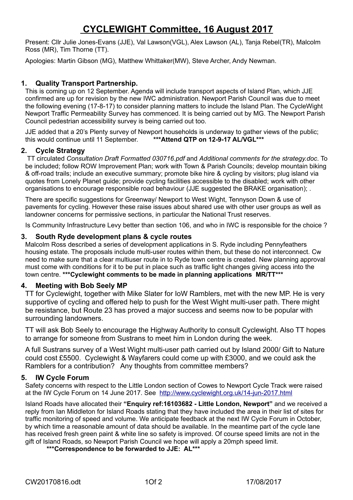# **CYCLEWIGHT Committee, 16 August 2017**

Present: Cllr Julie Jones-Evans (JJE), Val Lawson(VGL), Alex Lawson (AL), Tanja Rebel(TR), Malcolm Ross (MR), Tim Thorne (TT).

Apologies: Martin Gibson (MG), Matthew Whittaker(MW), Steve Archer, Andy Newman.

## **1. Quality Transport Partnership.**

This is coming up on 12 September. Agenda will include transport aspects of Island Plan, which JJE confirmed are up for revision by the new IWC administration. Newport Parish Council was due to meet the following evening (17-8-17) to consider planning matters to include the Island Plan. The CycleWight Newport Traffic Permeability Survey has commenced. It is being carried out by MG. The Newport Parish Council pedestrian accessibility survey is being carried out too.

JJE added that a 20's Plenty survey of Newport households is underway to gather views of the public; this would continue until 11 September. **\*\*\*Attend QTP on 12-9-17 AL/VGL\*\*\***

## **2. Cycle Strategy**

TT circulated *Consultation Draft Formatted 030716.pdf* and *Additional comments for the strategy.doc*. To be included; follow ROW Improvement Plan; work with Town & Parish Councils; develop mountain biking & off-road trails; include an executive summary; promote bike hire & cycling by visitors; plug island via quotes from Lonely Planet guide; provide cycling facilities accessible to the disabled; work with other organisations to encourage responsible road behaviour (JJE suggested the BRAKE organisation); .

There are specific suggestions for Greenway/ Newport to West Wight, Tennyson Down & use of pavements for cycling. However these raise issues about shared use with other user groups as well as landowner concerns for permissive sections, in particular the National Trust reserves.

Is Community Infrastructure Levy better than section 106, and who in IWC is responsible for the choice ?

#### **3. South Ryde development plans & cycle routes**

Malcolm Ross described a series of development applications in S. Ryde including Pennyfeathers housing estate. The proposals include multi-user routes within them, but these do not interconnect. Cw need to make sure that a clear multiuser route in to Ryde town centre is created. New planning approval must come with conditions for it to be put in place such as traffic light changes giving access into the town centre. **\*\*\*Cyclewight comments to be made in planning applications MR/TT\*\*\*** 

#### **4. Meeting with Bob Seely MP**

TT for Cyclewight, together with Mike Slater for IoW Ramblers, met with the new MP. He is very supportive of cycling and offered help to push for the West Wight multi-user path. There might be resistance, but Route 23 has proved a major success and seems now to be popular with surrounding landowners.

TT will ask Bob Seely to encourage the Highway Authority to consult Cyclewight. Also TT hopes to arrange for someone from Sustrans to meet him in London during the week.

A full Sustrans survey of a West Wight multi-user path carried out by Island 2000/ Gift to Nature could cost £5500. Cyclewight & Wayfarers could come up with £3000, and we could ask the Ramblers for a contribution? Any thoughts from committee members?

## **5. IW Cycle Forum**

Safety concerns with respect to the Little London section of Cowes to Newport Cycle Track were raised at the IW Cycle Forum on 14 June 2017. See <http://www.cyclewight.org.uk/14-jun-2017.html>

Island Roads have allocated their **"Enquiry ref:16103682 - Little London, Newport"** and we received a reply from Ian Middleton for Island Roads stating that they have included the area in their list of sites for traffic monitoring of speed and volume. We anticipate feedback at the next IW Cycle Forum in October, by which time a reasonable amount of data should be available. In the meantime part of the cycle lane has received fresh green paint & white line so safety is improved. Of course speed limits are not in the gift of Island Roads, so Newport Parish Council we hope will apply a 20mph speed limit.

**\*\*\*Correspondence to be forwarded to JJE: AL\*\*\***